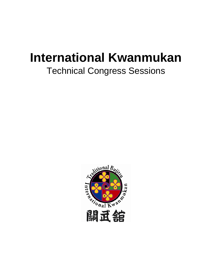# **International Kwanmukan**

## Technical Congress Sessions

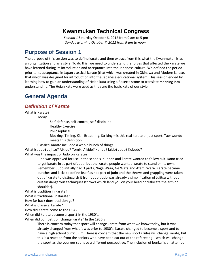## **Kwanmukan Technical Congress**

*Session 1* Saturday October 6, 2012 from 9 am to 5 pm *Sunday Morning October 7, 2012 from 9 am to noon.*

## **Purpose of Session 1**

The purpose of this session was to define karate and then extract from this what the Kwanmukan is as an organization and as a style. To do this, we need to understand the forces that affected the karate we have learned during its introduction and acceptance into the Japanese culture. We defined the period prior to its acceptance in Japan classical karate (that which was created in Okinawa and Modern karate, that which was designed for introduction into the Japanese educational system. This session ended by learning how to gain an understanding of Heian kata using a Rosetta stone to translate meaning into understanding. The Heian kata were used as they are the basic kata of our style.

## **General Agenda**

## *Definition of Karate*

What is Karate?

Today

Self‐defense, self‐control, self‐discipline

Healthy Exercise

Philosophical

Blocking, Timing, Kiai, Breathing, Striking – is this real karate or just sport. Taekwondo meets this definition

Classical Karate included a whole bunch of things

What is Judo? Jujitsu? Aikido? Tomiki Aikido? Kendo? Iaido? Jodo? Kobudo? What was the impact of Judo on Karate?

> Judo was approved for use in the schools in Japan and karate wanted to follow suit. Kano tried to get karate in as part of Judo, but the karate people wanted karate to stand on its own. Remember, Judo initially had 3 parts, Nage Waza, Ne Waza and Atemi Waza. Karate became punches and kicks to define itself as not part of judo and the throws and grappling were taken out of karate to distinguish it from Judo. Judo was already a simplification of Jujitsu without certain dangerous techniques (throws which land you on your head or dislocate the arm or shoulder).

What is tradition in karate?

What is traditional in Karate?

How far back does tradition go?

What is Classical karate?

How did Karate come to the USA?

When did karate become a sport? In the 1930's.

When did competition change karate? In the 1930's

There is concern today that sport will change karate from what we know today, but it was already changed from what it was prior to 1930's. Karate changed to become a sport and to have a high school curriculum. There is concern that the new sports rules will change karate, but this is a reaction from the seniors who have been cut out of the refereeing – which will change the sport as the younger set have a different perspective. The inclusion of bunkai is an attempt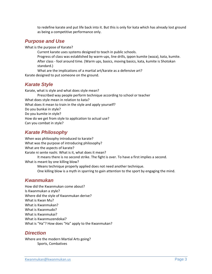to redefine karate and put life back into it. But this is only for kata which has already lost ground as being a competitive performance only.

## *Purpose and Use*

What is the purpose of Karate?

Current karate uses systems designed to teach in public schools.

Progress of class was established by warm‐ups, line drills, ippon kumite (waza), kata, kumite. After class ‐ fool around time. (Warm ups, basics, moving basics, kata, kumite is Shotokan standard.)

What are the implications of a martial art/karate as a defensive art? Karate designed to put someone on the ground.

## *Karate Style*

Karate, what is style and what does style mean?

- Prescribed way people perform technique according to school or teacher What does style mean in relation to kata? What does it mean to train in the style and apply yourself? Do you bunkai in style?
- Do you kumite in style?
- How do we get from style to application to actual use?
- Can you combat in style?

## *Karate Philosophy*

When was philosophy introduced to karate? What was the purpose of introducing philosophy? What are the aspects of karate? Karate ni sente nashi. What is it, what does it mean? It means there is no second strike. The fight is over. To have a first implies a second. What is meant by one killing blow? Means technique properly applied does not need another technique.

One killing blow is a myth in sparring to gain attention to the sport by engaging the mind.

## *Kwanmukan*

How did the Kwanmukan come about? Is Kwanmukan a style? Where did the style of Kwanmukan derive? What is Kwan Mu? What is Kwanmukan? What is Kwanmudo? What is Kwanmukai? What is Kwanmuzendokai? What is "Ha"? How does "Ha" apply to the Kwanmukan?

## *Direction*

Where are the modern Martial Arts going? Sports, Combatives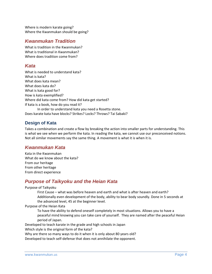Where is modern karate going? Where the Kwanmukan should be going?

## *Kwanmukan Tradition*

What is tradition in the Kwanmukan? What is traditional in Kwanmukan? Where does tradition come from?

## *Kata*

What is needed to understand kata? What is kata? What does kata mean? What does kata do? What is kata good for? How is kata exemplified? Where did kata come from? How did kata get started? If kata is a book, how do you read it? In order to understand kata you need a Rosetta stone. Does karate kata have blocks? Strikes? Locks? Throws? Tai Sabaki?

## **Design of Kata**

Takes a combination and create a flow by breaking the action into smaller parts for understanding. This is what we see when we perform the kata. In reading the kata, we cannot use our preconceived notions. Not all similar movements say the same thing. A movement is what it is when it is.

## *Kwanmukan Kata*

Kata in the Kwanmukan What do we know about the kata? From our heritage From other heritage From direct experience

## *Purpose of Taikyoku and the Heian Kata*

Purpose of Taikyoku

First Cause – what was before heaven and earth and what is after heaven and earth? Additionally even development of the body, ability to bear body soundly. Done in 5 seconds at the advanced level, 45 at the beginner level.

Purpose of the Heian Kata

To have the ability to defend oneself completely in most situations. Allows you to have a peaceful mind knowing you can take care of yourself. They are named after the peaceful Heian period of Japan.

Developed to teach karate in the grade and high schools in Japan

Which style is the original form of the kata?

Why are there so many ways to do it when it is only about 80 years old?

Developed to teach self‐defense that does not annihilate the opponent.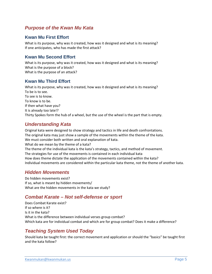## *Purpose of the Kwan Mu Kata*

#### **Kwan Mu First Effort**

What is its purpose, why was it created, how was it designed and what is its meaning? If one anticipates, who has made the first attack?

## **Kwan Mu Second Effort**

What is its purpose, why was it created, how was it designed and what is its meaning? What is the purpose of a block? What is the purpose of an attack?

#### **Kwan Mu Third Effort**

What is its purpose, why was it created, how was it designed and what is its meaning? To be is to see. To see is to know. To know is to be. If then what have you? It is already too late!? Thirty Spokes form the hub of a wheel, but the use of the wheel is the part that is empty.

## *Understanding Kata*

Original kata were designed to show strategy and tactics in life and death confrontations. The original kata may just show a sample of the movements within the theme of the kata. We must consider both written and oral explanation of kata. What do we mean by the theme of a kata? The theme of the individual kata is the kata's strategy, tactics, and method of movement. The strategies for use of the movements is contained in each individual kata How does theme dictate the application of the movements contained within the kata? Individual movements are considered within the particular kata theme, not the theme of another kata.

## *Hidden Movements*

Do hidden movements exist? If so, what is meant by hidden movements/ What are the hidden movements in the kata we study?

## *Combat Karate – Not self-defense or sport*

Does Combat Karate exist? If so where is it? Is it in the kata? What is the difference between individual verses group combat? Which kata are for individual combat and which are for group combat? Does it make a difference?

## *Teaching System Used Today*

Should kata be taught first: the correct movement and application or should the "basics" be taught first and the kata follow?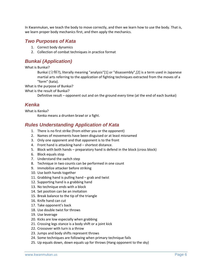In Kwanmukan, we teach the body to move correctly, and then we learn how to use the body. That is, we learn proper body mechanics first, and then apply the mechanics.

#### *Two Purposes of Kata*

- 1. Correct body dynamics
- 2. Collection of combat techniques in practice format

## *Bunkai (Application)*

What is Bunkai?

Bunkai (分解?), literally meaning "analysis"[1] or "disassembly",[2] is a term used in Japanese martial arts referring to the *application* of fighting techniques extracted from the moves of a "form" (kata).

What is the purpose of Bunkai?

What is the result of Bunkai?

Definitive result – opponent out and on the ground every time (at the end of each bunkai)

## *Kenka*

What is Kenka?

Kenka means a drunken brawl or a fight.

## *Rules Understanding Application of Kata*

- 1. There is no first strike (from either you or the opponent)
- 2. Names of movements have been disguised or at least misnamed
- 3. Only one opponent and that opponent is to the front
- 4. Front hand is attacking hand shortest distance.
- 5. Block with both hands preparatory hand is defend in the block (cross block)
- 6. Block equals stop
- 7. Understand the switch step
- 8. Technique in two counts can be performed in one count
- 9. Immobilize attacker before striking
- 10. Use both hands together
- 11. Grabbing hand is pulling hand grab and twist
- 12. Supporting hand is a grabbing hand
- 13. No technique ends with a block
- 14. Set position can be an invitation
- 15. Break balance to the tip of the triangle
- 16. Knife hand can cut
- 17. Take opponent's back
- 18. Use double twist for throws
- 19. Use leverage
- 20. Kicks are low especially when grabbing
- 21. Crossing legs stance is a body shift or a joint kick
- 22. Crossover with turn is a throw
- 23. Jumps and body shifts represent throws
- 24. Some techniques are following when primary technique fails
- 25. Up equals down, down equals up for throws (Hang opponent to the sky)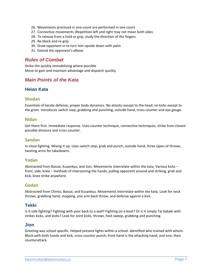- 26. Movements practiced in one count are performed in one count
- 27. Connective movements (Repetition left and right may not mean both sides
- 28. To release from a hold or grip, study the direction of the fingers
- 29. Re‐block and re‐grip
- 30. Draw opponent in to turn him upside down with palm
- 31. Extend the opponent's elbow.

## *Rules of Combat*

Strike the quickly immobilizing where possible Move to gain and maintain advantage and dispatch quickly

## *Main Points of the Kata*

#### **Heian Kata**

#### **Shodan**

Essentials of karate defense, proper body dynamics. No attacks except to the head, no kicks except to the groin. Introduces switch step, grabbing and punching, outside hand, cross counter and eye gouge.

#### **Nidan**

Get there first. Immediate response. Uses counter technique, connective techniques, strike from closest possible distance and cross counter.

#### **Sandan**

In-close fighting. Mixing it up. Uses switch step, grab and punch, outside hand, three types of throws, twisting arms for takedowns.

#### **Yodan**

Abstracted from Bassai, Kusankyu, and Jion. Movements interrelate within the kata. Various kicks – front, side, knee – methods of intersecting the hands, pulling opponent around and striking, grab and kick, knee strike anywhere.

#### **Godan**

Abstracted from Chinto, Bassai, and Kusankyu. Movements interrelate within the kata. Look for neck throws, grabbing hand, stopping, one arm back throw, and defense against a kick.

#### **Tekki**

Is it side fighting? Fighting with your back to a wall? Fighting on a boat? Or is it simply Tai Sabaki with strikes kicks, and locks? Look for Joint kicks, throws, foot sweep, grabbing and punching.

#### **Jion**

Greeting was school specific. Helped prevent fights within a school. Identified who trained with whom. Block with both hands and kick, cross counter punch, front hand is the attacking hand, and lure, then counterattack.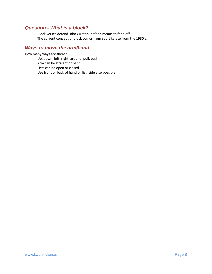## *Question - What is a block?*

Block verses defend. Block = stop, defend means to fend off. The current concept of block comes from sport karate from the 1930's.

## *Ways to move the arm/hand*

How many ways are there?

Up, down, left, right, around, pull, push Arm can be straight or bent Fists can be open or closed Use front or back of hand or fist (side also possible)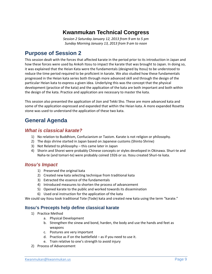## **Kwanmukan Technical Congress**

*Session 2 Saturday January 12, 2013 from 9 am to 5 pm Sunday Morning January 13, 2013 from 9 am to noon*

## **Purpose of Session 2**

This session dealt with the forces that affected karate in the period prior to its introduction in Japan and how these forces were used by Ankoh Itosu to impact the karate that was brought to Japan. In doing so, it was explained that the Heian Kata were the fundamentals (designed by Itosu) to be understood to reduce the time period required to be proficient in karate. We also studied how these fundamentals progressed in the Heian kata series both through more advanced skill and through the design of the particular Heian kata to express a given idea. Underlying this was the concept that the physical development (practice of the kata) and the application of the kata are both important and both within the design of the kata. Practice and application are necessary to master the kata.

This session also presented the application of Jion and Tekki Sho. These are more advanced kata and some of the application expressed and expanded that within the Heian kata. A more expanded Rosetta stone was used to understand the application of these two kata.

## **General Agenda**

## *What is classical karate?*

- 1) No relation to Buddhism, Confucianism or Taoism. Karate is not religion or philosophy.
- 2) The dojo shrine started in Japan based on Japanese customs (Shinto Shrine)
- 3) Not Related to philosophy this came later in Japan
- 4) Shorin and Shorei were probably Chinese concepts or styles developed in Okinawa. Shuri‐te and Naha‐te (and tomari‐te) were probably coined 1926 or so. Itosu created Shuri‐te kata.

## *Itosu's Impact*

- 1) Preserved the original kata
- 2) Created new kata selecting technique from traditional kata
- 3) Extracted the essence of the fundamentals
- 4) Introduced measures to shorten the process of advancement
- 5) Opened karate to the public and worked towards its dissemination
- 6) Used oral instruction for the application of the kata

We could say Itosu took traditional Tote (Tode) kata and created new kata using the term "karate."

#### **Itosu's Precepts help define classical karate**

- 1) Practice Method
	- a. Physical Development
	- b. Strengthen the sinew and bond, harden, the body and use the hands and feet as weapons
	- c. Postures are very important
	- d. Practice as if on the battlefield as if you need to use it.
	- e. Train relative to one's strength to avoid injury
- 2) Process of Advancement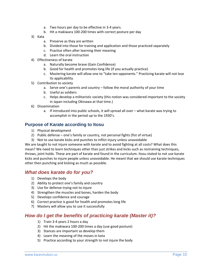- a. Two hours per day to be effective in 3‐4 years.
- b. Hit a makiwara 100‐200 times with correct posture per day
- 3) Kata
	- a. Preserve as they are written
	- b. Divided into those for training and application and those practiced separately
	- c. Practice often after learning their meaning
	- d. Learn the oral instruction
- 4) Effectiveness of karate
	- a. Naturally become brave (Gain Confidence)
	- b. Good for health and promotes long life (if you actually practice)
	- c. Mastering karate will allow one to "take ten opponents." Practicing karate will not lose its applicability.
- 5) Contribution to society
	- a. Serve one's parents and country follow the moral authority of your time
	- b. Useful as soldiers
	- c. Helps develop a militaristic society (this notion was considered important to the society in Japan including Okinawa at that time.)
- 6) Dissemination
	- a. If introduced into public schools, it will spread all over what karate was trying to accomplish in the period up to the 1930's.

#### **Purpose of Karate according to Itosu**

- 1) Physical development
- 2) Public defense one's family or country, not personal fights (fist of virtue)
- 3) Not to use karate kicks and punches to inflict injury unless unavoidable

We are taught to not injure someone with karate and to avoid fighting at all costs? What does this mean? We need to learn techniques other than just strikes and kicks such as restraining techniques, throws, joint holds. These are part of karate and found in the curriculum. Itosu stated to not use karate kicks and punches to injure people unless unavoidable. He meant that we should use karate techniques other then punching and kicking as much as possible.

## *What does karate do for you?*

- 1) Develops the body
- 2) Ability to protect one's family and country
- 3) Use for defense trying not to injure
- 4) Strengthen the muscles and bones, harden the body
- 5) Develops confidence and courage
- 6) Correct practice is good for health and promotes long life
- 7) Mastery will allow you to use it successfully

## *How do I get the benefits of practicing karate (Master it)?*

- 1) Train 3‐4 years 2 hours a day
- 2) Hit the makiwara 100‐200 times a day (use good posture)
- 3) Stances are important so develop them
- 4) Learn the meaning of the moves in kata
- 5) Practice according to your strength to not injure the body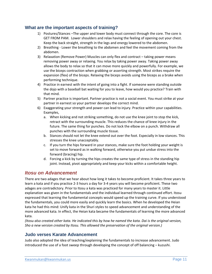#### **What are the important aspects of training?**

- 1) Postures/Stances –The upper and lower body must connect through the core. The core is GET FROM PAM. Lower shoulders and relax having the feeling of opening out your chest. Keep the back straight, strength in the legs and energy lowered to the abdomen.
- 2) Breathing Lower the breathing to the abdomen and feel the movement coming from the abdomen.
- 3) Relaxation (Remove Power) Muscles can only flex and contract taking power means removing power away or relaxing. You relax by taking power away. Taking power away allows the body to relax so that it can move more quickly and powerfully. For example, we use the biceps contraction when grabbing or asserting strength. Most strikes require the expansion (flex) of the biceps. Relaxing the biceps avoids using the biceps as a brake when performing technique.
- 4) Practice in earnest with the intent of going into a fight. If someone were standing outside the dojo with a baseball bat waiting for you to leave, how would you practice? Train with that mind.
- 5) Partner practice is important. Partner practice is not a social event. You must strike at your partner in earnest so your partner develops the correct mind.
- 6) Exaggerating your strength and power can lead to injury. Practice within your capabilities. Examples,
	- a. When kicking and not striking something, do not use the knee joint to stop the kick, retract with the surrounding muscle. This reduces the chance of knee injury in the future. The same thing for punches. Do not lock the elbow on a punch. Withdraw all punches with the surrounding muscle tissue.
	- b. Stances should not let the knee extend out over the foot. Especially in low stances. This stresses the knee unacceptably.
	- c. If you turn the hips forward in your stances, make sure the foot holding your weight is set to move forward as in walking forward, otherwise you put undue stress into the forward (bracing) hip.
	- d. Forcing a kick by turning the hips creates the same type of stress in the standing hip joint. Instead, pivot appropriately and keep your kicks within a comfortable height.

## *Itosu on Advancement*

There are two adages that we hear about how long it takes to become proficient. It takes three years to learn a kata and if you practice 2‐3 hours a day for 3‐4 years you will become proficient. These two adages are contradictory. Prior to Itosu a kata was practiced for many years to master it. Little explanation was given in the fundamentals and the individual learned through continued effort. Itosu expressed that learning the fundamental concepts would speed up the training curve. If you understood the fundamentals, you could more easily and quickly learn the basics. When he developed the Heian kata he had this mind: Unify kata in the Shuri styles to speed advancement and understanding of the more advanced kata. In effect, the Heian kata became the fundamentals of learning the more advanced kata.

(Itosu also created other kata. He indicated this by how he named the kata. Dai is the original version, *Sho a new version created by Itosu. This allowed the preservation of the original version.)*

#### **Judo verses Karate Advancement**

Judo also adopted the idea of teaching/explaining the fundamentals to increase advancement. Judo introduced the use of a foot sweep through developing the concept of off balancing – kuzushi.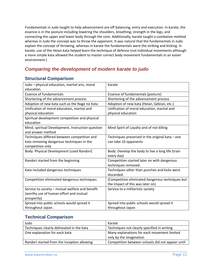Fundamentals in Judo taught to help advancement are off balancing, entry and execution. In karate, the essence is in the posture including lowering the shoulders, breathing, strength in the legs, and connecting the upper and lower body through the core. Additionally, karate taught a combative method whereas in Judo the concept was to throw the opponent. It was natural that the fundamentals in Judo explain the concept of throwing, whereas in karate the fundamentals were the striking and kicking. In karate, use of the Heian kata helped learn the technique of defense (not individual movements although a more simple kata allowed the student to master correct body movement fundamentals in an easier environment.)

## *Comparing the development of modern karate to judo*

## **Structural Comparison**

| Judo - physical education, martial arts, moral    | Karate                                            |
|---------------------------------------------------|---------------------------------------------------|
| education.                                        |                                                   |
| <b>Essence of fundamentals</b>                    | Essence of fundamentals (posture)                 |
| Shortening of the advancement process             | Shortening of the advancement process             |
| Adoption of new kata such as the Nage no Kata     | Adoption of new kata (Heian, Gekisei, etc.)       |
| Unification of moral education, martial and       | Unification of moral education, martial and       |
| physical education                                | physical education                                |
| Spiritual development competition and physical    |                                                   |
| education                                         |                                                   |
| Mind; spiritual Development, Instruction question | Mind Spirit of Loyalty and of not killing         |
| and answer method                                 |                                                   |
| Techniques differed between competition and       | Techniques preserved in the original kata - one   |
| kata removing dangerous techniques in the         | can take 10 opponents                             |
| competition only                                  |                                                   |
| Body: Physical Development (used Randori)         | Body: Develop the body to live a long life (train |
|                                                   | every day)                                        |
| Randori started from the beginning                | Competition started later on with dangerous       |
|                                                   | techniques removed.                               |
| Kata included dangerous techniques                | Techniques other than punches and kicks were      |
|                                                   | discarded.                                        |
| Competition eliminated dangerous techniques       | (Competition eliminated dangerous techniques but  |
|                                                   | the impact of this was later on)                  |
| Service to society - mutual welfare and benefit   | Service to a militaristic society                 |
| (worthy use of human effort and mutual            |                                                   |
| prosperity)                                       |                                                   |
| Spread into public schools would spread it        | Spread into public schools would spread it        |
| throughout Japan.                                 | throughout Japan                                  |

## **Technical Comparison**

| Judo                                        | Karate                                           |
|---------------------------------------------|--------------------------------------------------|
| Techniques clearly delineated in the kata   | Techniques not clearly specified in writing      |
| One explanation for each kata               | Many explanations for each movement limited      |
|                                             | only by the imagination                          |
| Randori started from the inception allowing | Competition between schools did not appear until |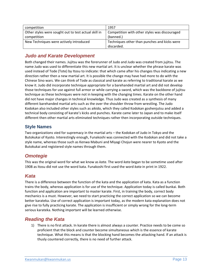| competition                                          | 1957                                          |
|------------------------------------------------------|-----------------------------------------------|
| Other styles were sought out to test actual skill in | Competition with other styles was discouraged |
| competition                                          | (banned.)                                     |
| New Techniques were actively introduced              | Techniques other than punches and kicks were  |
|                                                      | discarded.                                    |

## *Judo and Karate Development*

Both changed their names. Jujitsu was the forerunner of Judo and Judo was created from jujitsu. The name Judo was used to differentiate this new martial art. It is unclear whether the phrase karate was used instead of Tode (Tote) by Itosu to indicate: that which came after his changes thus indicating a new direction rather then a new martial art. It is possible the change may have had more to do with the Chinese Sino wars. We can think of Tode as classical and karate as referring to traditional karate as we know it. Judo did incorporate technique appropriate for a barehanded martial art and did not develop those techniques for use against full armor or while carrying a sword, which was the backbone of jujitsu technique as these techniques were not in keeping with the changing times. Karate on the other hand did not have major changes in technical knowledge. Thus Judo was created as a synthesis of many different barehanded martial arts such as the over the shoulder throw from wrestling. The Judo Kodokan also included other styles such as aikido, which they called Kodokan goshenjutsu and added a technical body consisting of karate's kicks and punches. Karate came later to Japan and to make itself different then other martial arts eliminated techniques rather then incorporating outside techniques.

## **Style Names**

Two organizations vied for supremacy in the martial arts – the Kodokan of Judo in Tokyo and the Butokukai of Kyoto. Interestingly enough, Funakoshi was connected with the Kodokan and did not take a style name, whereas those such as Kenwa Mabuni and Miyagi Chojun were nearer to Kyoto and the Butokukai and registered style names through them.

## *Omotegie*

This was the original word for what we know as *kata*. The word *kata* began to be sometime used after 1908 as Itosu did not use the word kata. Funakoshi first used the word *kata* in print in 1922.

## *Kata*

There is a difference between the function of the kata and the application of kata. Kata as a function trains the body, whereas application is for use of the technique. Application today is called bunkai. Both function and application are important to master karate. First, in training the body, correct body mechanics is a must. However, we need to start practicing the correct application so we can become better karateka. Use of correct application is important today, as the modern kata explanation does not give rise to fully practicing karate. The application is insufficient or simply wrong for the long‐term serious karateka. Nothing important will be learned otherwise.

## *Reading the Kata*

1) There is no first attack. In karate there is almost always a counter. Practice needs to be come so proficient that the block and counter become simultaneous which is the essence of karate technique. What this means is that the blocking hand becomes the attacking hand. If an attack is thusly countered correctly, there is no need of further attack.